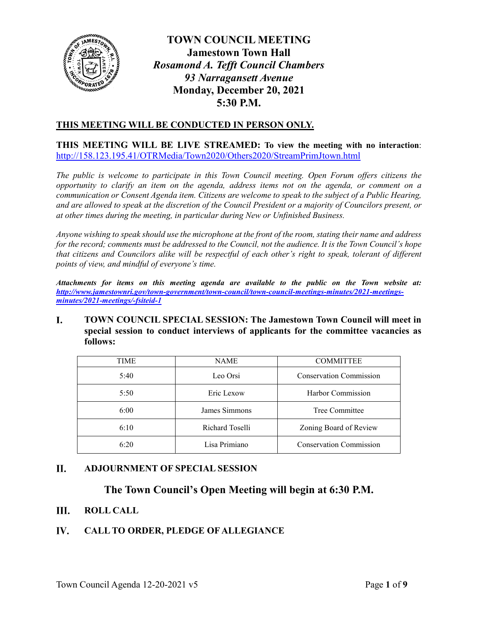

# **TOWN COUNCIL MEETING Jamestown Town Hall** *Rosamond A. Tefft Council Chambers 93 Narragansett Avenue* **Monday, December 20, 2021 5:30 P.M.**

# **THIS MEETING WILL BE CONDUCTED IN PERSON ONLY.**

**THIS MEETING WILL BE LIVE STREAMED: To view the meeting with no interaction**: <http://158.123.195.41/OTRMedia/Town2020/Others2020/StreamPrimJtown.html>

*The public is welcome to participate in this Town Council meeting. Open Forum offers citizens the opportunity to clarify an item on the agenda, address items not on the agenda, or comment on a communication or Consent Agenda item. Citizens are welcome to speak to the subject of a Public Hearing, and are allowed to speak at the discretion of the Council President or a majority of Councilors present, or at other times during the meeting, in particular during New or Unfinished Business.* 

*Anyone wishing to speak should use the microphone at the front of the room, stating their name and address for the record; comments must be addressed to the Council, not the audience. It is the Town Council's hope that citizens and Councilors alike will be respectful of each other's right to speak, tolerant of different points of view, and mindful of everyone's time.*

*Attachments for items on this meeting agenda are available to the public on the Town website at: [http://www.jamestownri.gov/town-government/town-council/town-council-meetings-minutes/2021-meetings](http://www.jamestownri.gov/town-government/town-council/town-council-meetings-minutes/2021-meetings-minutes/2021-meetings/-fsiteid-1)[minutes/2021-meetings/-fsiteid-1](http://www.jamestownri.gov/town-government/town-council/town-council-meetings-minutes/2021-meetings-minutes/2021-meetings/-fsiteid-1)*

### L. **TOWN COUNCIL SPECIAL SESSION: The Jamestown Town Council will meet in special session to conduct interviews of applicants for the committee vacancies as follows:**

| <b>TIME</b> | <b>NAME</b>     | <b>COMMITTEE</b>               |
|-------------|-----------------|--------------------------------|
| 5:40        | Leo Orsi        | <b>Conservation Commission</b> |
| 5:50        | Eric Lexow      | Harbor Commission              |
| 6:00        | James Simmons   | Tree Committee                 |
| 6:10        | Richard Toselli | Zoning Board of Review         |
| 6:20        | Lisa Primiano   | <b>Conservation Commission</b> |

### II. **ADJOURNMENT OF SPECIAL SESSION**

# **The Town Council's Open Meeting will begin at 6:30 P.M.**

Ш. **ROLL CALL**

### IV. **CALL TO ORDER, PLEDGE OF ALLEGIANCE**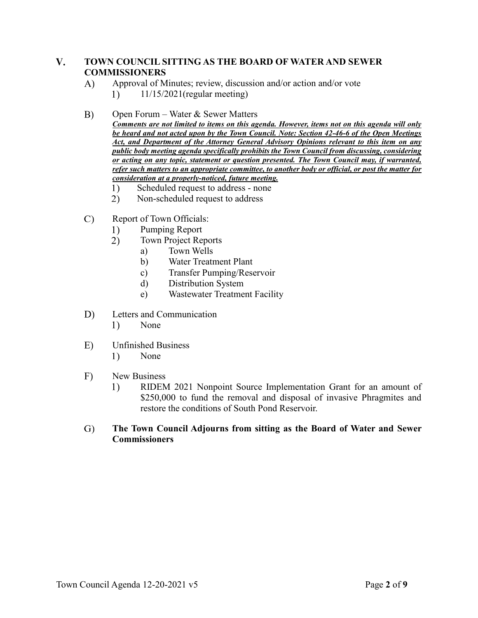### $V_{\star}$ **TOWN COUNCIL SITTING AS THE BOARD OF WATER AND SEWER COMMISSIONERS**

- Approval of Minutes; review, discussion and/or action and/or vote A)
	- 1) 11/15/2021(regular meeting)

#### $B)$ Open Forum – Water & Sewer Matters

- *Comments are not limited to items on this agenda. However, items not on this agenda will only be heard and not acted upon by the Town Council. Note: Section 42-46-6 of the Open Meetings Act, and Department of the Attorney General Advisory Opinions relevant to this item on any public body meeting agenda specifically prohibits the Town Council from discussing, considering or acting on any topic, statement or question presented. The Town Council may, if warranted, refer such matters to an appropriate committee, to another body or official, or post the matter for consideration at a properly-noticed, future meeting.*
	- $1)$ Scheduled request to address - none
	- 2) Non-scheduled request to address
- $\mathcal{C}$ Report of Town Officials:
	- Pumping Report  $1)$
	- $2)$ Town Project Reports
		- a) Town Wells
		- b) Water Treatment Plant
		- c) Transfer Pumping/Reservoir
		- d) Distribution System
		- e) Wastewater Treatment Facility
- $D)$ Letters and Communication
	- 1) None
- $E)$ Unfinished Business
	- $1)$ None
- $F)$ New Business
	- 1) RIDEM 2021 Nonpoint Source Implementation Grant for an amount of \$250,000 to fund the removal and disposal of invasive Phragmites and restore the conditions of South Pond Reservoir.

### G) **The Town Council Adjourns from sitting as the Board of Water and Sewer Commissioners**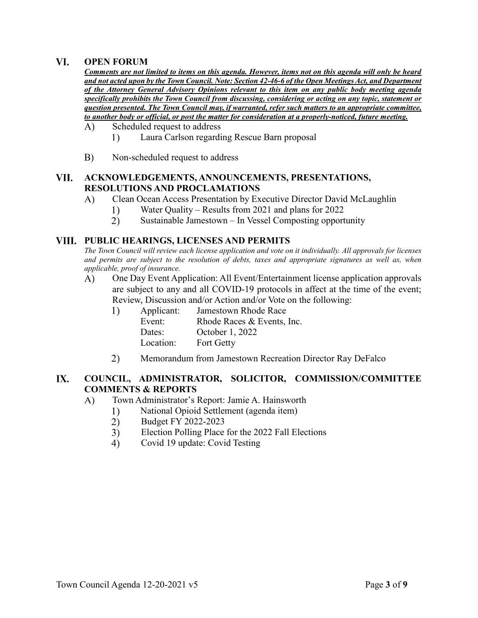#### VI. **OPEN FORUM**

*Comments are not limited to items on this agenda. However, items not on this agenda will only be heard and not acted upon by the Town Council. Note: Section 42-46-6 of the Open Meetings Act, and Department of the Attorney General Advisory Opinions relevant to this item on any public body meeting agenda specifically prohibits the Town Council from discussing, considering or acting on any topic, statement or question presented. The Town Council may, if warranted, refer such matters to an appropriate committee, to another body or official, or post the matter for consideration at a properly-noticed, future meeting.*  $\bf{A}$ Scheduled request to address

- 1) Laura Carlson regarding Rescue Barn proposal
- $B)$ Non-scheduled request to address

### **ACKNOWLEDGEMENTS, ANNOUNCEMENTS, PRESENTATIONS,**  VII. **RESOLUTIONS AND PROCLAMATIONS**

- Clean Ocean Access Presentation by Executive Director David McLaughlin  $\bf{A}$ 
	- $1)$ Water Quality – Results from 2021 and plans for 2022
	- $(2)$ Sustainable Jamestown – In Vessel Composting opportunity

# **PUBLIC HEARINGS, LICENSES AND PERMITS**

*The Town Council will review each license application and vote on it individually. All approvals for licenses and permits are subject to the resolution of debts, taxes and appropriate signatures as well as, when applicable, proof of insurance.*

A) One Day Event Application: All Event/Entertainment license application approvals are subject to any and all COVID-19 protocols in affect at the time of the event; Review, Discussion and/or Action and/or Vote on the following:

| Applicant: | Jamestown Rhode Race       |
|------------|----------------------------|
| Event:     | Rhode Races & Events, Inc. |
| Dates:     | October 1, 2022            |
| Location:  | <b>Fort Getty</b>          |
|            |                            |

Memorandum from Jamestown Recreation Director Ray DeFalco 2)

### **IX. COUNCIL, ADMINISTRATOR, SOLICITOR, COMMISSION/COMMITTEE COMMENTS & REPORTS**

- $\bf{A}$ Town Administrator's Report: Jamie A. Hainsworth
	- National Opioid Settlement (agenda item)  $1)$
	- $\overline{2)}$ Budget FY 2022-2023
	- $3)$ Election Polling Place for the 2022 Fall Elections
	- $4)$ Covid 19 update: Covid Testing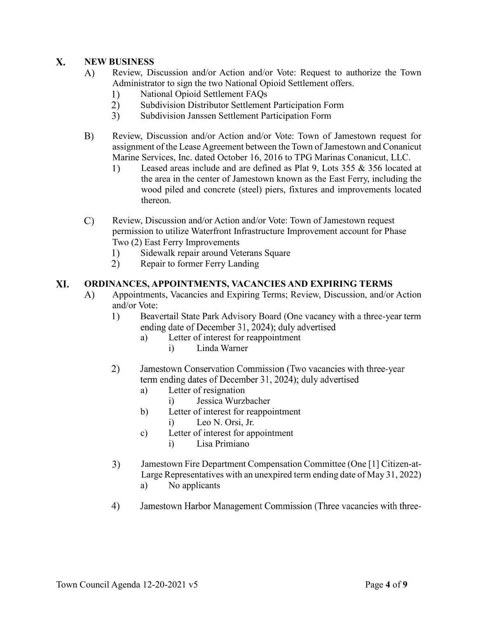### $\mathbf{X}$ . **NEW BUSINESS**

- A) Review, Discussion and/or Action and/or Vote: Request to authorize the Town Administrator to sign the two National Opioid Settlement offers.
	- $1)$ National Opioid Settlement FAQs
	- $(2)$ Subdivision Distributor Settlement Participation Form
	- $3)$ Subdivision Janssen Settlement Participation Form
- B) Review, Discussion and/or Action and/or Vote: Town of Jamestown request for assignment of the Lease Agreement between the Town of Jamestown and Conanicut Marine Services, Inc. dated October 16, 2016 to TPG Marinas Conanicut, LLC.
	- $1)$ Leased areas include and are defined as Plat 9, Lots 355 & 356 located at the area in the center of Jamestown known as the East Ferry, including the wood piled and concrete (steel) piers, fixtures and improvements located thereon.
- $\mathcal{C}$ Review, Discussion and/or Action and/or Vote: Town of Jamestown request permission to utilize Waterfront Infrastructure Improvement account for Phase Two (2) East Ferry Improvements
	- $1)$ Sidewalk repair around Veterans Square
	- $2)$ Repair to former Ferry Landing

### XI. **ORDINANCES, APPOINTMENTS, VACANCIES AND EXPIRING TERMS**

- Appointments, Vacancies and Expiring Terms; Review, Discussion, and/or Action A) and/or Vote:
	- 1) Beavertail State Park Advisory Board (One vacancy with a three-year term ending date of December 31, 2024); duly advertised
		- a) Letter of interest for reappointment
			- i) Linda Warner
	- 2) Jamestown Conservation Commission (Two vacancies with three-year term ending dates of December 31, 2024); duly advertised
		- a) Letter of resignation
			- i) Jessica Wurzbacher
		- b) Letter of interest for reappointment
			- i) Leo N. Orsi, Jr.
		- c) Letter of interest for appointment i) Lisa Primiano
	- $3)$ Jamestown Fire Department Compensation Committee (One [1] Citizen-at-Large Representatives with an unexpired term ending date of May 31, 2022) a) No applicants
	- 4) Jamestown Harbor Management Commission (Three vacancies with three-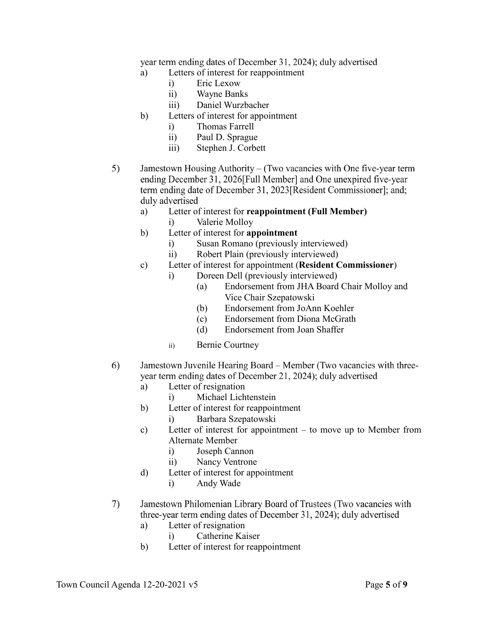year term ending dates of December 31, 2024); duly advertised

- a) Letters of interest for reappointment
	- i) Eric Lexow
	- ii) Wayne Banks
	- iii) Daniel Wurzbacher
- b) Letters of interest for appointment
	- i) Thomas Farrell
	- ii) Paul D. Sprague
	- iii) Stephen J. Corbett
- $5)$ Jamestown Housing Authority – (Two vacancies with One five-year term ending December 31, 2026[Full Member] and One unexpired five-year term ending date of December 31, 2023 [Resident Commissioner]; and; duly advertised
	- a) Letter of interest for **reappointment (Full Member)**
		- i) Valerie Molloy
	- b) Letter of interest for **appointment**
		- i) Susan Romano (previously interviewed)
		- ii) Robert Plain (previously interviewed)
	- c) Letter of interest for appointment (**Resident Commissioner**)
		- i) Doreen Dell (previously interviewed)
			- (a) Endorsement from JHA Board Chair Molloy and Vice Chair Szepatowski
			- (b) Endorsement from JoAnn Koehler
			- (c) Endorsement from Diona McGrath
			- (d) Endorsement from Joan Shaffer
		- ii) Bernie Courtney
- 6) Jamestown Juvenile Hearing Board – Member (Two vacancies with threeyear term ending dates of December 21, 2024); duly advertised
	- a) Letter of resignation
		- i) Michael Lichtenstein
	- b) Letter of interest for reappointment
		- i) Barbara Szepatowski
	- c) Letter of interest for appointment to move up to Member from Alternate Member
		- i) Joseph Cannon
		- ii) Nancy Ventrone
	- d) Letter of interest for appointment
		- i) Andy Wade
- 7) Jamestown Philomenian Library Board of Trustees (Two vacancies with three-year term ending dates of December 31, 2024); duly advertised
	- a) Letter of resignation
		- i) Catherine Kaiser
	- b) Letter of interest for reappointment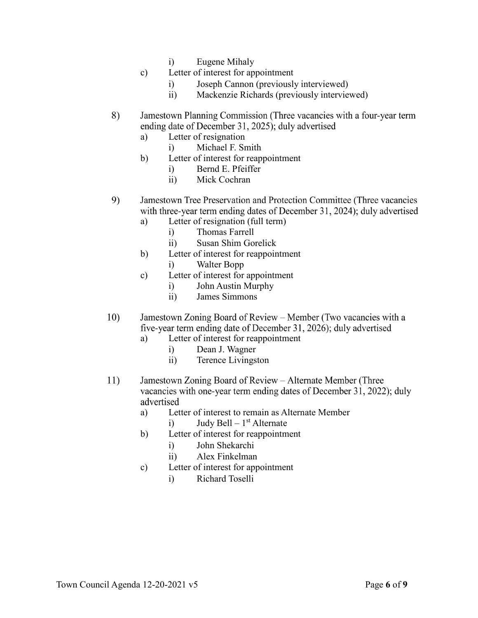- i) Eugene Mihaly
- c) Letter of interest for appointment
	- i) Joseph Cannon (previously interviewed)
	- ii) Mackenzie Richards (previously interviewed)
- 8) Jamestown Planning Commission (Three vacancies with a four-year term ending date of December 31, 2025); duly advertised
	- a) Letter of resignation
		- i) Michael F. Smith
	- b) Letter of interest for reappointment
		- i) Bernd E. Pfeiffer
		- ii) Mick Cochran
- 9) Jamestown Tree Preservation and Protection Committee (Three vacancies) with three-year term ending dates of December 31, 2024); duly advertised
	- a) Letter of resignation (full term)
		- i) Thomas Farrell
		- ii) Susan Shim Gorelick
	- b) Letter of interest for reappointment
		- i) Walter Bopp
	- c) Letter of interest for appointment
		- i) John Austin Murphy
		- ii) James Simmons
- Jamestown Zoning Board of Review Member (Two vacancies with a  $10)$ five-year term ending date of December 31, 2026); duly advertised
	- a) Letter of interest for reappointment
		- i) Dean J. Wagner
		- ii) Terence Livingston
- 11) Jamestown Zoning Board of Review – Alternate Member (Three vacancies with one-year term ending dates of December 31, 2022); duly advertised
	- a) Letter of interest to remain as Alternate Member i) Judy Bell –  $1<sup>st</sup>$  Alternate
	- b) Letter of interest for reappointment
		- - i) John Shekarchi
			- ii) Alex Finkelman
	- c) Letter of interest for appointment
		- i) Richard Toselli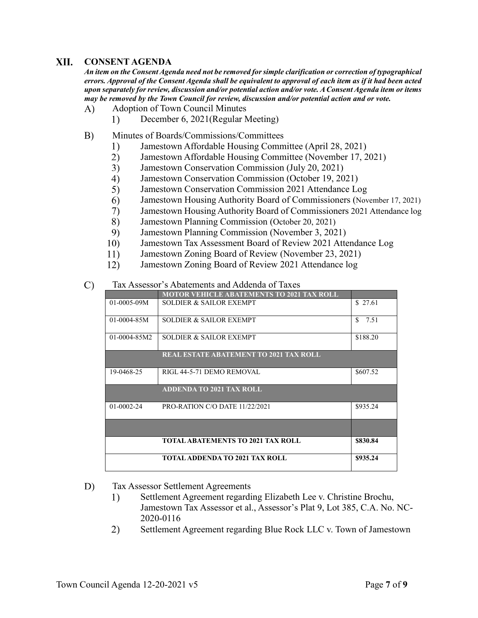#### XII. **CONSENT AGENDA**

*An item on the Consent Agenda need not be removed for simple clarification or correction of typographical errors. Approval of the Consent Agenda shall be equivalent to approval of each item as if it had been acted upon separately for review, discussion and/or potential action and/or vote. A Consent Agenda item or items may be removed by the Town Council for review, discussion and/or potential action and or vote.*

- A) Adoption of Town Council Minutes
	- $1)$ December 6, 2021(Regular Meeting)
- $B)$ Minutes of Boards/Commissions/Committees
	- Jamestown Affordable Housing Committee (April 28, 2021)  $1)$
	- $2)$ Jamestown Affordable Housing Committee (November 17, 2021)
	- $3)$ Jamestown Conservation Commission (July 20, 2021)
	- $4)$ Jamestown Conservation Commission (October 19, 2021)
	- $5)$ Jamestown Conservation Commission 2021 Attendance Log
	- 6) Jamestown Housing Authority Board of Commissioners (November 17, 2021)
	- 7) Jamestown Housing Authority Board of Commissioners 2021 Attendance log
	- 8) Jamestown Planning Commission (October 20, 2021)
	- 9) Jamestown Planning Commission (November 3, 2021)
	- 10) Jamestown Tax Assessment Board of Review 2021 Attendance Log
	- 11) Jamestown Zoning Board of Review (November 23, 2021)
	- 12) Jamestown Zoning Board of Review 2021 Attendance log

#### $\mathcal{C}$ Tax Assessor's Abatements and Addenda of Taxes

|                  | <b>MOTOR VEHICLE ABATEMENTS TO 2021 TAX ROLL</b> |                      |
|------------------|--------------------------------------------------|----------------------|
| $01-0005-09M$    | SOLDIER & SAILOR EXEMPT                          | \$ 27.61             |
| $01-0004-85M$    | SOLDIER & SAILOR EXEMPT                          | $\mathbf{S}$<br>7.51 |
| $01-0004-85M2$   | SOLDIER & SAILOR EXEMPT                          | \$188.20             |
|                  | <b>REAL ESTATE ABATEMENT TO 2021 TAX ROLL</b>    |                      |
| 19-0468-25       | RIGL 44-5-71 DEMO REMOVAL                        | \$607.52             |
|                  | <b>ADDENDA TO 2021 TAX ROLL</b>                  |                      |
| $01 - 0002 - 24$ | PRO-RATION C/O DATE 11/22/2021                   | \$935.24             |
|                  |                                                  |                      |
|                  | <b>TOTAL ABATEMENTS TO 2021 TAX ROLL</b>         | \$830.84             |
|                  | <b>TOTAL ADDENDA TO 2021 TAX ROLL</b>            | \$935.24             |

#### D) Tax Assessor Settlement Agreements

- 1) Settlement Agreement regarding Elizabeth Lee v. Christine Brochu, Jamestown Tax Assessor et al., Assessor's Plat 9, Lot 385, C.A. No. NC-2020-0116
- Settlement Agreement regarding Blue Rock LLC v. Town of Jamestown 2)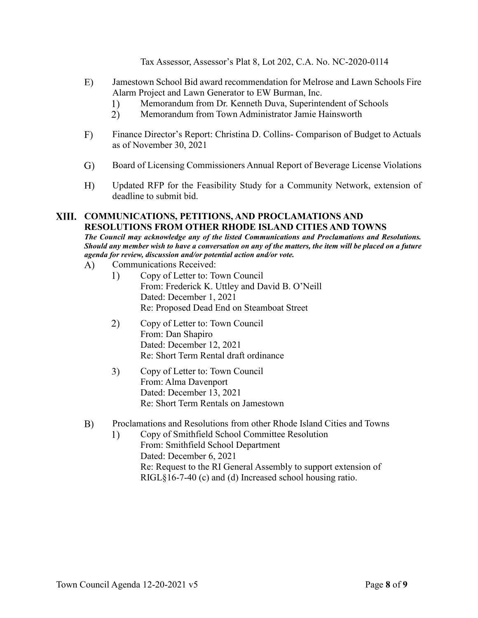Tax Assessor, Assessor's Plat 8, Lot 202, C.A. No. NC-2020-0114

- $E)$ Jamestown School Bid award recommendation for Melrose and Lawn Schools Fire Alarm Project and Lawn Generator to EW Burman, Inc.
	- $1)$ Memorandum from Dr. Kenneth Duva, Superintendent of Schools
	- $2)$ Memorandum from Town Administrator Jamie Hainsworth
- $F)$ Finance Director's Report: Christina D. Collins- Comparison of Budget to Actuals as of November 30, 2021
- $\mathrm{G}$ Board of Licensing Commissioners Annual Report of Beverage License Violations
- $H$ ) Updated RFP for the Feasibility Study for a Community Network, extension of deadline to submit bid.

## **COMMUNICATIONS, PETITIONS, AND PROCLAMATIONS AND RESOLUTIONS FROM OTHER RHODE ISLAND CITIES AND TOWNS**

*The Council may acknowledge any of the listed Communications and Proclamations and Resolutions. Should any member wish to have a conversation on any of the matters, the item will be placed on a future agenda for review, discussion and/or potential action and/or vote.* 

- A) Communications Received:
	- $1)$ Copy of Letter to: Town Council From: Frederick K. Uttley and David B. O'Neill Dated: December 1, 2021 Re: Proposed Dead End on Steamboat Street
	- 2) Copy of Letter to: Town Council From: Dan Shapiro Dated: December 12, 2021 Re: Short Term Rental draft ordinance
	- $3)$ Copy of Letter to: Town Council From: Alma Davenport Dated: December 13, 2021 Re: Short Term Rentals on Jamestown
- $B)$ Proclamations and Resolutions from other Rhode Island Cities and Towns
	- $1)$ Copy of Smithfield School Committee Resolution From: Smithfield School Department Dated: December 6, 2021 Re: Request to the RI General Assembly to support extension of RIGL§16-7-40 (c) and (d) Increased school housing ratio.